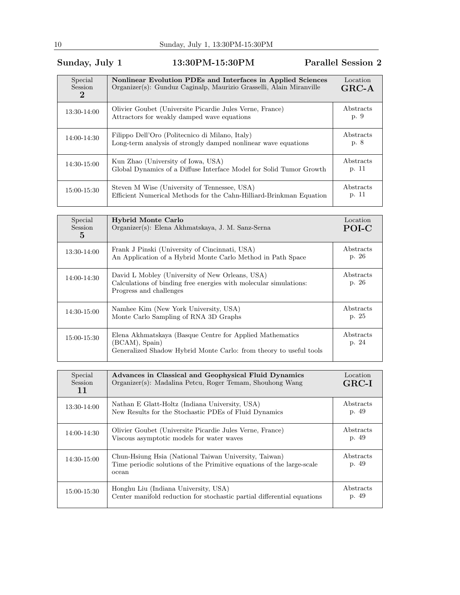## Sunday, July 1 13:30PM-15:30PM Parallel Session 2

| Special<br>Session<br>$\bf{2}$ | Nonlinear Evolution PDEs and Interfaces in Applied Sciences<br>Organizer(s): Gunduz Caginalp, Maurizio Grasselli, Alain Miranville | Location<br>$GRC-A$ |
|--------------------------------|------------------------------------------------------------------------------------------------------------------------------------|---------------------|
| 13:30-14:00                    | Olivier Goubet (Universite Picardie Jules Verne, France)<br>Attractors for weakly damped wave equations                            | Abstracts<br>p. 9   |
| 14:00-14:30                    | Filippo Dell'Oro (Politecnico di Milano, Italy)<br>Long-term analysis of strongly damped nonlinear wave equations                  | Abstracts<br>p. 8   |
| 14:30-15:00                    | Kun Zhao (University of Iowa, USA)<br>Global Dynamics of a Diffuse Interface Model for Solid Tumor Growth                          | Abstracts<br>p. 11  |
| 15:00-15:30                    | Steven M Wise (University of Tennessee, USA)<br>Efficient Numerical Methods for the Cahn-Hilliard-Brinkman Equation                | Abstracts<br>p. 11  |

| Special<br><b>Session</b><br>5 | <b>Hybrid Monte Carlo</b><br>Organizer(s): Elena Akhmatskaya, J. M. Sanz-Serna                                                                   | Location<br>POI-C  |
|--------------------------------|--------------------------------------------------------------------------------------------------------------------------------------------------|--------------------|
| 13:30-14:00                    | Frank J Pinski (University of Cincinnati, USA)<br>An Application of a Hybrid Monte Carlo Method in Path Space                                    | Abstracts<br>p. 26 |
| 14:00-14:30                    | David L Mobley (University of New Orleans, USA)<br>Calculations of binding free energies with molecular simulations:<br>Progress and challenges  | Abstracts<br>p. 26 |
| 14:30-15:00                    | Namhee Kim (New York University, USA)<br>Monte Carlo Sampling of RNA 3D Graphs                                                                   | Abstracts<br>p. 25 |
| 15:00-15:30                    | Elena Akhmatskaya (Basque Centre for Applied Mathematics<br>(BCAM), Spain)<br>Generalized Shadow Hybrid Monte Carlo: from theory to useful tools | Abstracts<br>p. 24 |

| Special<br><b>Session</b><br>11 | Advances in Classical and Geophysical Fluid Dynamics<br>Organizer(s): Madalina Petcu, Roger Temam, Shouhong Wang                        | Location<br>$GRC-I$ |
|---------------------------------|-----------------------------------------------------------------------------------------------------------------------------------------|---------------------|
| 13:30-14:00                     | Nathan E Glatt-Holtz (Indiana University, USA)<br>New Results for the Stochastic PDEs of Fluid Dynamics                                 | Abstracts<br>p. 49  |
| 14:00-14:30                     | Olivier Goubet (Universite Picardie Jules Verne, France)<br>Viscous asymptotic models for water waves                                   | Abstracts<br>p. 49  |
| 14:30-15:00                     | Chun-Hsiung Hsia (National Taiwan University, Taiwan)<br>Time periodic solutions of the Primitive equations of the large-scale<br>ocean | Abstracts<br>p. 49  |
| 15:00-15:30                     | Honghu Liu (Indiana University, USA)<br>Center manifold reduction for stochastic partial differential equations                         | Abstracts<br>p. 49  |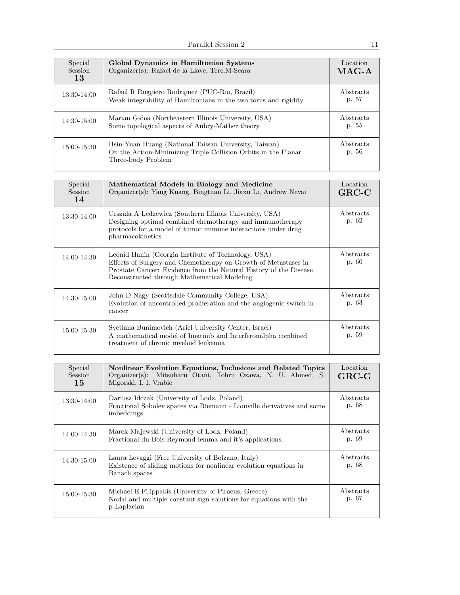| Special<br>Session<br>13 | Global Dynamics in Hamiltonian Systems<br>Organizer(s): Rafael de la Llave, Tere.M-Seara                                                     | Location<br>$MAG-A$ |
|--------------------------|----------------------------------------------------------------------------------------------------------------------------------------------|---------------------|
| $13:30-14:00$            | Rafael R Ruggiero Rodriguez (PUC-Rio, Brazil)<br>Weak integrability of Hamiltonians in the two torus and rigidity                            | Abstracts<br>p. 57  |
| 14:30-15:00              | Marian Gidea (Northeastern Illinois University, USA)<br>Some topological aspects of Aubry-Mather theory                                      | Abstracts<br>p. 55  |
| 15:00-15:30              | Hsin-Yuan Huang (National Taiwan University, Taiwan)<br>On the Action-Minimizing Triple Collision Orbits in the Planar<br>Three-body Problem | Abstracts<br>p. 56  |

| Special<br>Session<br>14 | Mathematical Models in Biology and Medicine<br>Organizer(s): Yang Kuang, Bingtuan Li, Jiaxu Li, Andrew Nevai                                                                                                                              | Location<br>$GRC-C$ |
|--------------------------|-------------------------------------------------------------------------------------------------------------------------------------------------------------------------------------------------------------------------------------------|---------------------|
| 13:30-14:00              | Urszula A Ledzewicz (Southern Illinois University, USA)<br>Designing optimal combined chemotherapy and immunotherapy<br>protocols for a model of tumor immune interactions under drug<br>pharmacokinetics                                 | Abstracts<br>p. 62  |
| 14:00-14:30              | Leonid Hanin (Georgia Institute of Technology, USA)<br>Effects of Surgery and Chemotherapy on Growth of Metastases in<br>Prostate Cancer: Evidence from the Natural History of the Disease<br>Reconstructed through Mathematical Modeling | Abstracts<br>p. 60  |
| 14:30-15:00              | John D Nagy (Scottsdale Community College, USA)<br>Evolution of uncontrolled proliferation and the angiogenic switch in<br>cancer                                                                                                         | Abstracts<br>p. 63  |
| 15:00-15:30              | Svetlana Bunimovich (Ariel University Center, Israel)<br>A mathematical model of Imatinib and Interferonalpha combined<br>treatment of chronic myeloid leukemia                                                                           | Abstracts<br>p. 59  |

| Special<br>Session<br>15 | Nonlinear Evolution Equations, Inclusions and Related Topics<br>Organizer(s): Mitsuharu Otani, Tohru Ozawa, N. U. Ahmed, S.<br>Migorski, I. I. Vrabie | Location<br>$GRC-G$ |
|--------------------------|-------------------------------------------------------------------------------------------------------------------------------------------------------|---------------------|
| 13:30-14:00              | Dariusz Idczak (University of Lodz, Poland)<br>Fractional Sobolev spaces via Riemann - Liouville derivatives and some<br>imbeddings                   | Abstracts<br>p. 68  |
| 14:00-14:30              | Marek Majewski (University of Lodz, Poland)<br>Fractional du Bois-Reymond lemma and it's applications.                                                | Abstracts<br>p. 69  |
| 14:30-15:00              | Laura Levaggi (Free University of Bolzano, Italy)<br>Existence of sliding motions for nonlinear evolution equations in<br>Banach spaces               | Abstracts<br>p. 68  |
| 15:00-15:30              | Michael E Filippakis (University of Piraeus, Greece)<br>Nodal and multiple constant sign solutions for equations with the<br>p-Laplacian              | Abstracts<br>p. 67  |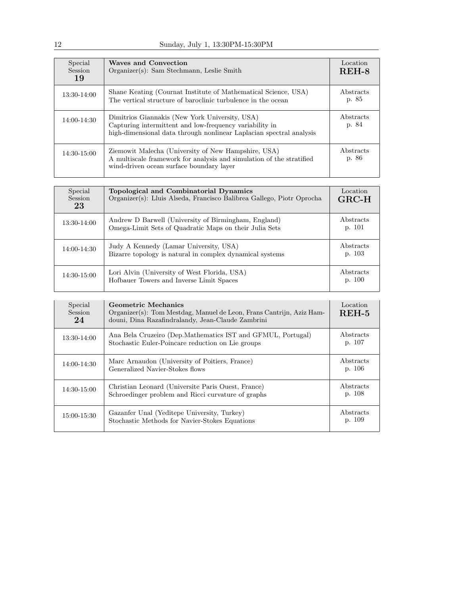| Special<br>Session<br>19 | <b>Waves and Convection</b><br>Organizer(s): Sam Stechmann, Leslie Smith                                                                                                         | Location<br>$REH-8$ |
|--------------------------|----------------------------------------------------------------------------------------------------------------------------------------------------------------------------------|---------------------|
| 13:30-14:00              | Shane Keating (Cournat Institute of Mathematical Science, USA)<br>The vertical structure of baroclinic turbulence in the ocean                                                   | Abstracts<br>p. 85  |
| 14:00-14:30              | Dimitrios Giannakis (New York University, USA)<br>Capturing intermittent and low-frequency variability in<br>high-dimensional data through nonlinear Laplacian spectral analysis | Abstracts<br>p. 84  |
| 14:30-15:00              | Ziemowit Malecha (University of New Hampshire, USA)<br>A multiscale framework for analysis and simulation of the stratified<br>wind-driven ocean surface boundary layer          | Abstracts<br>p. 86  |

| Special<br>Session<br>23 | Topological and Combinatorial Dynamics<br>Organizer(s): Lluis Alseda, Francisco Balibrea Gallego, Piotr Oprocha | Location<br>$_{\rm GRC-H}$ |
|--------------------------|-----------------------------------------------------------------------------------------------------------------|----------------------------|
| 13:30-14:00              | Andrew D Barwell (University of Birmingham, England)<br>Omega-Limit Sets of Quadratic Maps on their Julia Sets  | Abstracts<br>p. 101        |
| 14:00-14:30              | Judy A Kennedy (Lamar University, USA)<br>Bizarre topology is natural in complex dynamical systems              | Abstracts<br>p. 103        |
| 14:30-15:00              | Lori Alvin (University of West Florida, USA)<br>Hofbauer Towers and Inverse Limit Spaces                        | Abstracts<br>p. 100        |

| Special<br>Session<br>24 | Geometric Mechanics<br>Organizer(s): Tom Mestdag, Manuel de Leon, Frans Cantrijn, Aziz Ham-<br>douni, Dina Razafindralandy, Jean-Claude Zambrini | Location<br>$REH-5$ |
|--------------------------|--------------------------------------------------------------------------------------------------------------------------------------------------|---------------------|
| 13:30-14:00              | Ana Bela Cruzeiro (Dep.Mathematics IST and GFMUL, Portugal)<br>Stochastic Euler-Poincare reduction on Lie groups                                 | Abstracts<br>p. 107 |
| 14:00-14:30              | Marc Arnaudon (University of Poitiers, France)<br>Generalized Navier-Stokes flows                                                                | Abstracts<br>p. 106 |
| 14:30-15:00              | Christian Leonard (Universite Paris Ouest, France)<br>Schroedinger problem and Ricci curvature of graphs                                         | Abstracts<br>p. 108 |
| 15:00-15:30              | Gazanfer Unal (Yeditepe University, Turkey)<br>Stochastic Methods for Navier-Stokes Equations                                                    | Abstracts<br>p. 109 |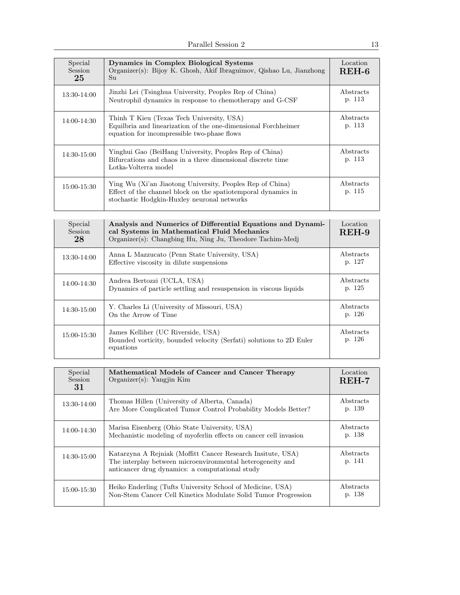| Special<br><b>Session</b><br>25 | Dynamics in Complex Biological Systems<br>Organizer(s): Bijoy K. Ghosh, Akif Ibraguimov, Qishao Lu, Jianzhong<br>Su                                                          | Location<br>$REH-6$ |
|---------------------------------|------------------------------------------------------------------------------------------------------------------------------------------------------------------------------|---------------------|
| 13:30-14:00                     | Jinzhi Lei (Tsinghua University, Peoples Rep of China)<br>Neutrophil dynamics in response to chemotherapy and G-CSF                                                          | Abstracts<br>p. 113 |
| $14:00 - 14:30$                 | Thinh T Kieu (Texas Tech University, USA)<br>Equilbria and linearization of the one-dimensional Forchheimer<br>equation for incompressible two-phase flows                   | Abstracts<br>p. 113 |
| 14:30-15:00                     | Yinghui Gao (BeiHang University, Peoples Rep of China)<br>Bifurcations and chaos in a three dimensional discrete time<br>Lotka-Volterra model                                | Abstracts<br>p. 113 |
| 15:00-15:30                     | Ying Wu (Xi'an Jiaotong University, Peoples Rep of China)<br>Effect of the channel block on the spatiolet emporal dynamics in<br>stochastic Hodgkin-Huxley neuronal networks | Abstracts<br>p. 115 |

| Special<br>Session<br>28 | Analysis and Numerics of Differential Equations and Dynami-<br>cal Systems in Mathematical Fluid Mechanics<br>Organizer(s): Changbing Hu, Ning Ju, Theodore Tachim-Medj | Location<br>$REH-9$ |
|--------------------------|-------------------------------------------------------------------------------------------------------------------------------------------------------------------------|---------------------|
| 13:30-14:00              | Anna L Mazzucato (Penn State University, USA)<br>Effective viscosity in dilute suspensions                                                                              | Abstracts<br>p. 127 |
| 14:00-14:30              | Andrea Bertozzi (UCLA, USA)<br>Dynamics of particle settling and resuspension in viscous liquids                                                                        | Abstracts<br>p. 125 |
| 14:30-15:00              | Y. Charles Li (University of Missouri, USA)<br>On the Arrow of Time                                                                                                     | Abstracts<br>p. 126 |
| 15:00-15:30              | James Kelliher (UC Riverside, USA)<br>Bounded vorticity, bounded velocity (Serfati) solutions to 2D Euler<br>equations                                                  | Abstracts<br>p. 126 |

| Special<br>Session<br>31 | Mathematical Models of Cancer and Cancer Therapy<br>Organizer(s): Yangjin Kim                                                                                                | Location<br>$REH-7$ |
|--------------------------|------------------------------------------------------------------------------------------------------------------------------------------------------------------------------|---------------------|
| $13:30-14:00$            | Thomas Hillen (University of Alberta, Canada)<br>Are More Complicated Tumor Control Probability Models Better?                                                               | Abstracts<br>p. 139 |
| 14:00-14:30              | Marisa Eisenberg (Ohio State University, USA)<br>Mechanistic modeling of myoferlin effects on cancer cell invasion                                                           | Abstracts<br>p. 138 |
| 14:30-15:00              | Katarzyna A Rejniak (Moffitt Cancer Research Insitute, USA)<br>The interplay between microenvironmental heterogeneity and<br>anticancer drug dynamics: a computational study | Abstracts<br>p. 141 |
| 15:00-15:30              | Heiko Enderling (Tufts University School of Medicine, USA)<br>Non-Stem Cancer Cell Kinetics Modulate Solid Tumor Progression                                                 | Abstracts<br>p. 138 |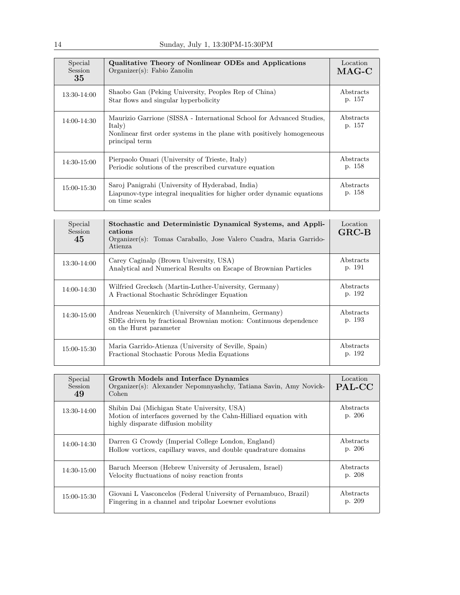| Special<br>Session<br>35 | Qualitative Theory of Nonlinear ODEs and Applications<br>$Organizer(s)$ : Fabio Zanolin                                                                                     | Location<br>$MAG-C$ |
|--------------------------|-----------------------------------------------------------------------------------------------------------------------------------------------------------------------------|---------------------|
| 13:30-14:00              | Shaobo Gan (Peking University, Peoples Rep of China)<br>Star flows and singular hyperbolicity                                                                               | Abstracts<br>p. 157 |
| 14:00-14:30              | Maurizio Garrione (SISSA - International School for Advanced Studies,<br>Italy)<br>Nonlinear first order systems in the plane with positively homogeneous<br>principal term | Abstracts<br>p. 157 |
| $14:30 - 15:00$          | Pierpaolo Omari (University of Trieste, Italy)<br>Periodic solutions of the prescribed curvature equation                                                                   | Abstracts<br>p. 158 |
| 15:00-15:30              | Saroj Panigrahi (University of Hyderabad, India)<br>Liapunov-type integral inequalities for higher order dynamic equations<br>on time scales                                | Abstracts<br>p. 158 |

| Special<br>Session<br>45 | Stochastic and Deterministic Dynamical Systems, and Appli-<br>cations<br>Organizer(s): Tomas Caraballo, Jose Valero Cuadra, Maria Garrido-<br>Atienza | Location<br>$GRC-B$ |
|--------------------------|-------------------------------------------------------------------------------------------------------------------------------------------------------|---------------------|
| 13:30-14:00              | Carey Caginalp (Brown University, USA)<br>Analytical and Numerical Results on Escape of Brownian Particles                                            | Abstracts<br>p. 191 |
| 14:00-14:30              | Wilfried Grecksch (Martin-Luther-University, Germany)<br>A Fractional Stochastic Schrödinger Equation                                                 | Abstracts<br>p. 192 |
| 14:30-15:00              | Andreas Neuenkirch (University of Mannheim, Germany)<br>SDEs driven by fractional Brownian motion: Continuous dependence<br>on the Hurst parameter    | Abstracts<br>p. 193 |
| 15:00-15:30              | Maria Garrido-Atienza (University of Seville, Spain)<br>Fractional Stochastic Porous Media Equations                                                  | Abstracts<br>p. 192 |

| Special<br><b>Session</b><br>49 | Growth Models and Interface Dynamics<br>Organizer(s): Alexander Nepomnyashchy, Tatiana Savin, Amy Novick-<br>Cohen                                     | Location<br>PAL-CC  |
|---------------------------------|--------------------------------------------------------------------------------------------------------------------------------------------------------|---------------------|
| 13:30-14:00                     | Shibin Dai (Michigan State University, USA)<br>Motion of interfaces governed by the Cahn-Hilliard equation with<br>highly disparate diffusion mobility | Abstracts<br>p. 206 |
| 14:00-14:30                     | Darren G Crowdy (Imperial College London, England)<br>Hollow vortices, capillary waves, and double quadrature domains                                  | Abstracts<br>p. 206 |
| 14:30-15:00                     | Baruch Meerson (Hebrew University of Jerusalem, Israel)<br>Velocity fluctuations of noisy reaction fronts                                              | Abstracts<br>p. 208 |
| 15:00-15:30                     | Giovani L Vasconcelos (Federal University of Pernambuco, Brazil)<br>Fingering in a channel and tripolar Loewner evolutions                             | Abstracts<br>p. 209 |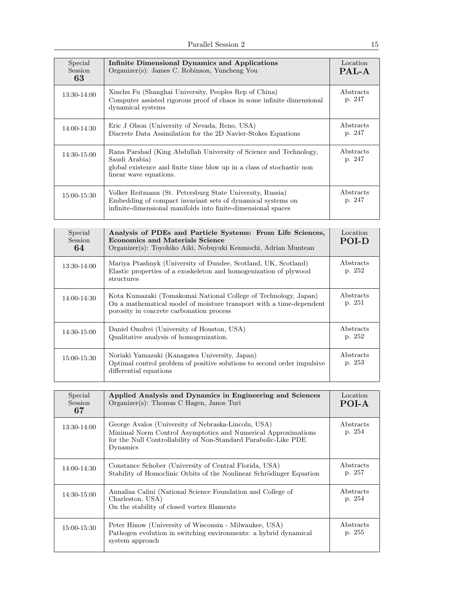| Special<br>Session<br>63 | Infinite Dimensional Dynamics and Applications<br>Organizer(s): James C. Robinson, Yuncheng You                                                                                           | Location<br>PAL-A   |
|--------------------------|-------------------------------------------------------------------------------------------------------------------------------------------------------------------------------------------|---------------------|
| 13:30-14:00              | Xinchu Fu (Shanghai University, Peoples Rep of China)<br>Computer assisted rigorous proof of chaos in some infinite dimensional<br>dynamical systems                                      | Abstracts<br>p. 247 |
| 14:00-14:30              | Eric J Olson (University of Nevada, Reno, USA)<br>Discrete Data Assimilation for the 2D Navier-Stokes Equations                                                                           | Abstracts<br>p. 247 |
| 14:30-15:00              | Rana Parshad (King Abdullah University of Science and Technology,<br>Saudi Arabia)<br>global existence and finite time blow up in a class of stochastic non<br>linear wave equations.     | Abstracts<br>p. 247 |
| 15:00-15:30              | Volker Reitmann (St. Petersburg State University, Russia)<br>Embedding of compact invariant sets of dynamical systems on<br>infinite-dimensional manifolds into finite-dimensional spaces | Abstracts<br>p. 247 |

| Special<br>Session<br>64 | Analysis of PDEs and Particle Systems: From Life Sciences,<br><b>Economics and Materials Science</b><br>Organizer(s): Toyohiko Aiki, Nobuyuki Kenmochi, Adrian Muntean             | Location<br><b>POLD</b> |
|--------------------------|------------------------------------------------------------------------------------------------------------------------------------------------------------------------------------|-------------------------|
| 13:30-14:00              | Mariya Ptashnyk (University of Dundee, Scotland, UK, Scotland)<br>Elastic properties of a exoskeleton and homogenization of plywood<br>structures                                  | Abstracts<br>p. 252     |
| 14:00-14:30              | Kota Kumazaki (Tomakomai National College of Technology, Japan)<br>On a mathematical model of moisture transport with a time-dependent<br>porosity in concrete carbonation process | Abstracts<br>p. 251     |
| 14:30-15:00              | Daniel Onofrei (University of Houston, USA)<br>Qualitative analysis of homogenization.                                                                                             | Abstracts<br>p. 252     |
| 15:00-15:30              | Noriaki Yamazaki (Kanagawa University, Japan)<br>Optimal control problem of positive solutions to second order impulsive<br>differential equations                                 | Abstracts<br>p. 253     |

| Special<br>Session<br>67 | Applied Analysis and Dynamics in Engineering and Sciences<br>Organizer(s): Thomas C Hagen, Janos Turi                                                                                               | Location<br>POI-A   |
|--------------------------|-----------------------------------------------------------------------------------------------------------------------------------------------------------------------------------------------------|---------------------|
| 13:30-14:00              | George Avalos (University of Nebraska-Lincoln, USA)<br>Minimal Norm Control Asymptotics and Numerical Approximations<br>for the Null Controllability of Non-Standard Parabolic-Like PDE<br>Dynamics | Abstracts<br>p. 254 |
| 14:00-14:30              | Constance Schober (University of Central Florida, USA)<br>Stability of Homoclinic Orbits of the Nonlinear Schrödinger Equation                                                                      | Abstracts<br>p. 257 |
| $14:30-15:00$            | Annalisa Calini (National Science Foundation and College of<br>Charleston, USA)<br>On the stability of closed vortex filaments                                                                      | Abstracts<br>p. 254 |
| 15:00-15:30              | Peter Hinow (University of Wisconsin - Milwaukee, USA)<br>Pathogen evolution in switching environments: a hybrid dynamical<br>system approach                                                       | Abstracts<br>p. 255 |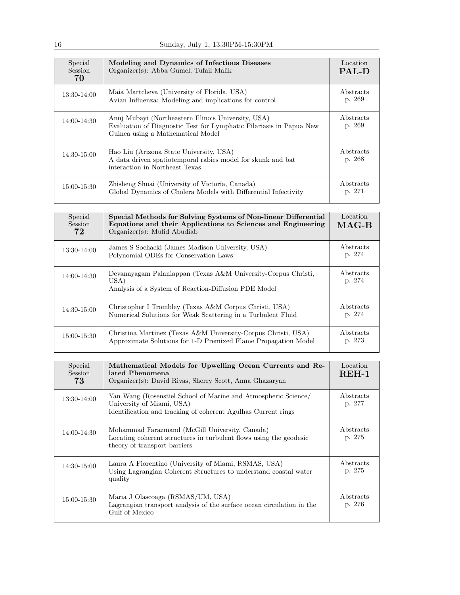| Special<br><b>Session</b><br>70 | Modeling and Dynamics of Infectious Diseases<br>Organizer(s): Abba Gumel, Tufail Malik                                                                          | Location<br><b>PAL-D</b> |
|---------------------------------|-----------------------------------------------------------------------------------------------------------------------------------------------------------------|--------------------------|
| 13:30-14:00                     | Maia Martcheva (University of Florida, USA)<br>Avian Influenza: Modeling and implications for control                                                           | Abstracts<br>p. 269      |
| 14:00-14:30                     | Anuj Mubayi (Northeastern Illinois University, USA)<br>Evaluation of Diagnostic Test for Lymphatic Filariasis in Papua New<br>Guinea using a Mathematical Model | Abstracts<br>p. 269      |
| 14:30-15:00                     | Hao Liu (Arizona State University, USA)<br>A data driven spatiotemporal rabies model for skunk and bat<br>interaction in Northeast Texas                        | Abstracts<br>p. 268      |
| 15:00-15:30                     | Zhisheng Shuai (University of Victoria, Canada)<br>Global Dynamics of Cholera Models with Differential Infectivity                                              | Abstracts<br>p. 271      |

| Special<br><b>Session</b><br>72 | Special Methods for Solving Systems of Non-linear Differential<br>Equations and their Applications to Sciences and Engineering<br>$Organizer(s)$ : Mufid Abudiab | Location<br>$MAG-B$ |
|---------------------------------|------------------------------------------------------------------------------------------------------------------------------------------------------------------|---------------------|
| 13:30-14:00                     | James S Sochacki (James Madison University, USA)<br>Polynomial ODEs for Conservation Laws                                                                        | Abstracts<br>p. 274 |
| 14:00-14:30                     | Devanayagam Palaniappan (Texas A&M University-Corpus Christi,<br>USA)<br>Analysis of a System of Reaction-Diffusion PDE Model                                    | Abstracts<br>p. 274 |
| 14:30-15:00                     | Christopher I Trombley (Texas A&M Corpus Christi, USA)<br>Numerical Solutions for Weak Scattering in a Turbulent Fluid                                           | Abstracts<br>p. 274 |
| 15:00-15:30                     | Christina Martinez (Texas A&M University-Corpus Christi, USA)<br>Approximate Solutions for 1-D Premixed Flame Propagation Model                                  | Abstracts<br>p. 273 |

| Special<br><b>Session</b><br>73 | Mathematical Models for Upwelling Ocean Currents and Re-<br>lated Phenomena<br>Organizer(s): David Rivas, Sherry Scott, Anna Ghazaryan                       | Location<br>$REH-1$ |
|---------------------------------|--------------------------------------------------------------------------------------------------------------------------------------------------------------|---------------------|
| 13:30-14:00                     | Yan Wang (Rosenstiel School of Marine and Atmospheric Science)<br>University of Miami, USA)<br>Identification and tracking of coherent Agulhas Current rings | Abstracts<br>p. 277 |
| 14:00-14:30                     | Mohammad Farazmand (McGill University, Canada)<br>Locating coherent structures in turbulent flows using the geodesic<br>theory of transport barriers         | Abstracts<br>p. 275 |
| 14:30-15:00                     | Laura A Fiorentino (University of Miami, RSMAS, USA)<br>Using Lagrangian Coherent Structures to understand coastal water<br>quality                          | Abstracts<br>p. 275 |
| 15:00-15:30                     | Maria J Olascoaga (RSMAS/UM, USA)<br>Lagrangian transport analysis of the surface ocean circulation in the<br>Gulf of Mexico                                 | Abstracts<br>p. 276 |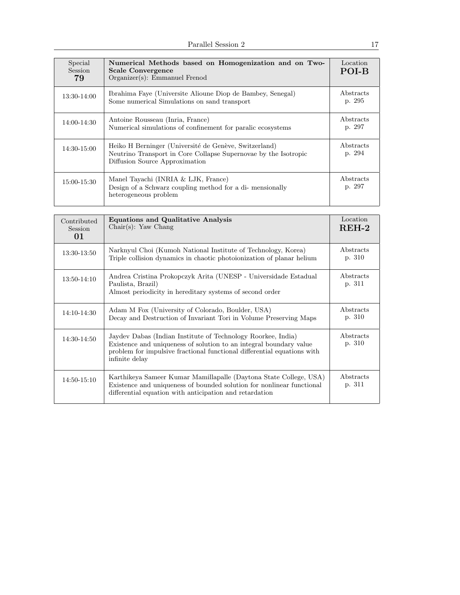| Special<br><b>Session</b><br>79 | Numerical Methods based on Homogenization and on Two-<br><b>Scale Convergence</b><br>Organizer(s): Emmanuel Frenod                                         | Location<br>POI-B   |
|---------------------------------|------------------------------------------------------------------------------------------------------------------------------------------------------------|---------------------|
| 13:30-14:00                     | Ibrahima Faye (Universite Alioune Diop de Bambey, Senegal)<br>Some numerical Simulations on sand transport                                                 | Abstracts<br>p. 295 |
| 14:00-14:30                     | Antoine Rousseau (Inria, France)<br>Numerical simulations of confinement for paralic ecosystems                                                            | Abstracts<br>p. 297 |
| 14:30-15:00                     | Heiko H Berninger (Université de Genève, Switzerland)<br>Neutrino Transport in Core Collapse Supernovae by the Isotropic<br>Diffusion Source Approximation | Abstracts<br>p. 294 |
| 15:00-15:30                     | Manel Tayachi (INRIA $&$ LJK, France)<br>Design of a Schwarz coupling method for a di-mensionally<br>heterogeneous problem                                 | Abstracts<br>p. 297 |

| Contributed<br><b>Session</b><br>01 | <b>Equations and Qualitative Analysis</b><br>$Chair(s):$ Yaw Chang                                                                                                                                                              | Location<br>$REH-2$ |
|-------------------------------------|---------------------------------------------------------------------------------------------------------------------------------------------------------------------------------------------------------------------------------|---------------------|
| 13:30-13:50                         | Narknyul Choi (Kumoh National Institute of Technology, Korea)<br>Triple collision dynamics in chaotic photoionization of planar helium                                                                                          | Abstracts<br>p. 310 |
| $13:50-14:10$                       | Andrea Cristina Prokopczyk Arita (UNESP - Universidade Estadual<br>Paulista, Brazil)<br>Almost periodicity in hereditary systems of second order                                                                                | Abstracts<br>p. 311 |
| 14:10-14:30                         | Adam M Fox (University of Colorado, Boulder, USA)<br>Decay and Destruction of Invariant Tori in Volume Preserving Maps                                                                                                          | Abstracts<br>p. 310 |
| 14:30-14:50                         | Jaydev Dabas (Indian Institute of Technology Roorkee, India)<br>Existence and uniqueness of solution to an integral boundary value<br>problem for impulsive fractional functional differential equations with<br>infinite delay | Abstracts<br>p. 310 |
| $14:50 - 15:10$                     | Karthikeya Sameer Kumar Mamillapalle (Daytona State College, USA)<br>Existence and uniqueness of bounded solution for nonlinear functional<br>differential equation with anticipation and retardation                           | Abstracts<br>p. 311 |